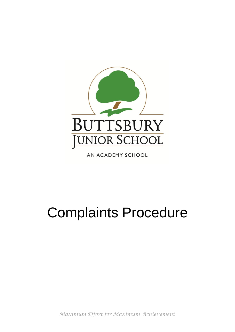

AN ACADEMY SCHOOL

# Complaints Procedure

*Maximum Effort for Maximum Achievement*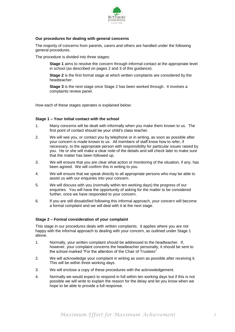

## **Our procedures for dealing with general concerns**

The majority of concerns from parents, carers and others are handled under the following general procedures.

The procedure is divided into three stages:

**Stage 1** aims to resolve the concern through informal contact at the appropriate level in school (as described on pages 2 and 3 of this guidance).

**Stage 2** is the first formal stage at which written complaints are considered by the headteacher.

**Stage 3** is the next stage once Stage 2 has been worked through. It involves a complaints review panel.

How each of these stages operates is explained below:

## **Stage 1 – Your initial contact with the school**

- 1. Many concerns will be dealt with informally when you make them known to us. The first point of contact should be your child's class teacher.
- 2. We will see you, or contact you by telephone or in writing, as soon as possible after your concern is made known to us. All members of staff know how to refer, if necessary, to the appropriate person with responsibility for particular issues raised by you. He or she will make a clear note of the details and will check later to make sure that the matter has been followed up.
- 3. We will ensure that you are clear what action or monitoring of the situation, if any, has been agreed. We will confirm this in writing to you.
- 4. We will ensure that we speak directly to all appropriate persons who may be able to assist us with our enquiries into your concern.
- 5. We will discuss with you (normally within ten working days) the progress of our enquiries. You will have the opportunity of asking for the matter to be considered further, once we have responded to your concern.
- 6. If you are still dissatisfied following this informal approach, your concern will become a formal complaint and we will deal with it at the next stage.

# **Stage 2 – Formal consideration of your complaint**

This stage in our procedures deals with written complaints. It applies where you are not happy with the informal approach to dealing with your concern, as outlined under Stage 1 above.

- 1. Normally, your written complaint should be addressed to the headteacher. If, however, your complaint concerns the headteacher personally, it should be sent to the school marked "For the attention of the Chair of Trustees"
- 2. We will acknowledge your complaint in writing as soon as possible after receiving it. This will be within three working days.
- 3. We will enclose a copy of these procedures with the acknowledgement.
- 4. Normally we would expect to respond in full within ten working days but if this is not possible we will write to explain the reason for the delay and let you know when we hope to be able to provide a full response.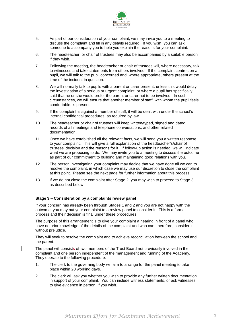

- 5. As part of our consideration of your complaint, we may invite you to a meeting to discuss the complaint and fill in any details required. If you wish, you can ask someone to accompany you to help you explain the reasons for your complaint.
- 6. The headteacher, or chair of trustees may also be accompanied by a suitable person if they wish.
- 7. Following the meeting, the headteacher or chair of trustees will, where necessary, talk to witnesses and take statements from others involved. If the complaint centres on a pupil, we will talk to the pupil concerned and, where appropriate, others present at the time of the incident in question.
- 8. We will normally talk to pupils with a parent or carer present, unless this would delay the investigation of a serious or urgent complaint, or where a pupil has specifically said that he or she would prefer the parent or carer not to be involved. In such circumstances, we will ensure that another member of staff, with whom the pupil feels comfortable, is present.
- 9. If the complaint is against a member of staff, it will be dealt with under the school's internal confidential procedures, as required by law.
- 10. The headteacher or chair of trustees will keep written/typed, signed and dated records of all meetings and telephone conversations, and other related documentation.
- 11. Once we have established all the relevant facts, we will send you a written response to your complaint. This will give a full explanation of the headteacher's/chair of trustees' decision and the reasons for it. If follow-up action is needed, we will indicate what we are proposing to do. We may invite you to a meeting to discuss the outcome as part of our commitment to building and maintaining good relations with you.
- 12. The person investigating your complaint may decide that we have done all we can to resolve the complaint, in which case we may use our discretion to close the complaint at this point. Please see the next page for further information about this process.
- 13. If we do not close the complaint after Stage 2, you may wish to proceed to Stage 3, as described below.

## **Stage 3 – Consideration by a complaints review panel**

If your concern has already been through Stages 1 and 2 and you are not happy with the outcome, you may put your complaint to a review panel to consider it. This is a formal process and their decision is final under these procedures.

The purpose of this arrangement is to give your complaint a hearing in front of a panel who have no prior knowledge of the details of the complaint and who can, therefore, consider it without prejudice.

They will seek to resolve the complaint and to achieve reconciliation between the school and the parent.

The panel will consists of two members of the Trust Board not previously involved in the complaint and one person independent of the management and running of the Academy. They operate to the following procedure.

- 1. The clerk to the governing body will aim to arrange for the panel meeting to take place within 20 working days.
- 2. The clerk will ask you whether you wish to provide any further written documentation in support of your complaint. You can include witness statements, or ask witnesses to give evidence in person, if you wish.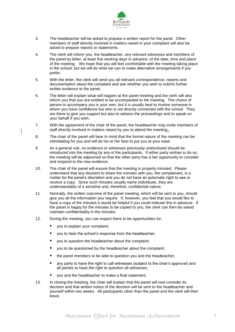

- 3. The headteacher will be asked to prepare a written report for the panel. Other members of staff directly involved in matters raised in your complaint will also be asked to prepare reports or statements.
- 4. The clerk will inform you, the headteacher, any relevant witnesses and members of the panel by letter, at least five working days in advance, of the date, time and place of the meeting. We hope that you will feel comfortable with the meeting taking place in the school; but we will do what we can to make alternative arrangements if you prefer.
- 5. With the letter, the clerk will send you all relevant correspondence, reports and documentation about the complaint and ask whether you wish to submit further written evidence to the panel.
- 6. The letter will explain what will happen at the panel meeting and the clerk will also inform you that you are entitled to be accompanied to the meeting. The choice of person to accompany you is your own, but it is usually best to involve someone in whom you have confidence but who is not directly connected with the school. They are there to give you support but also to witness the proceedings and to speak on your behalf if you wish.
- 7. With the agreement of the chair of the panel, the headteacher may invite members of staff directly involved in matters raised by you to attend the meeting.
- 8. The chair of the panel will bear in mind that the formal nature of the meeting can be intimidating for you and will do his or her best to put you at your ease.
- 9. As a general rule, no evidence or witnesses previously undisclosed should be introduced into the meeting by any of the participants. If either party wishes to do so, the meeting will be adjourned so that the other party has a fair opportunity to consider and respond to the new evidence.
- 10. The chair of the panel will ensure that the meeting is properly minuted. Please understand that any decision to share the minutes with you, the complainant, is a matter for the panel's discretion and you do not have an automatic right to see or receive a copy. Since such minutes usually name individuals, they are understandably of a sensitive and, therefore, confidential nature.
- 11. Normally, the written outcome of the panel meeting, which will be sent to you, should give you all the information you require. If, however, you feel that you would like to have a copy of the minutes it would be helpful if you could indicate this in advance. If the panel is happy for the minutes to be copied to you, the clerk can then be asked maintain confidentiality in the minutes.
- 12. During the meeting, you can expect there to be opportunities for:
	- you to explain your complaint;
	- you to hear the school's response from the headteacher;
	- you to question the headteacher about the complaint;
	- you to be questioned by the headteacher about the complaint;
	- the panel members to be able to question you and the headteacher;
	- any party to have the right to call witnesses (subject to the chair's approval) and all parties to have the right to question all witnesses;
	- you and the headteacher to make a final statement.
- 13. In closing the meeting, the chair will explain that the panel will now consider its decision and that written notice of the decision will be sent to the headteacher and yourself within two weeks. All participants other than the panel and the clerk will then leave.